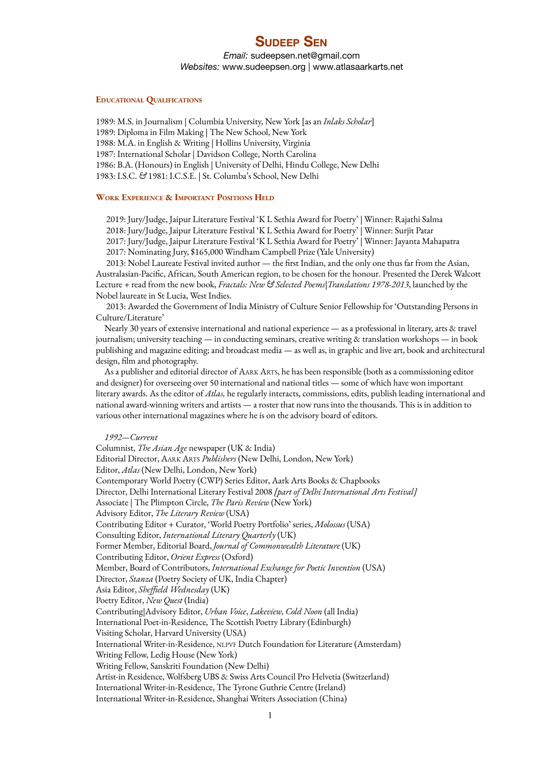# **SUDEEP SEN**

*Email:* [sudeepsen.net@gmail.com](mailto:sudeepsen.net@gmail.com) *Websites:* www.sudeepsen.org | www.atlasaarkarts.net

### **EDUCATIONAL QUALIFICATIONS**

1989: M.S. in Journalism | Columbia University, New York [as an *Inlaks Scholar*] 1989: Diploma in Film Making | The New School, New York 1988: M.A. in English & Writing | Hollins University, Virginia 1987: International Scholar | Davidson College, North Carolina 1986: B.A. (Honours) in English | University of Delhi, Hindu College, New Delhi 1983: I.S.C. *&* 1981: I.C.S.E. | St. Columba's School, New Delhi

### **WORK EXPERIENCE & IMPORTANT POSITIONS HELD**

2019: Jury/Judge, Jaipur Literature Festival 'K L Sethia Award for Poetry' | Winner: Rajathi Salma 2018: Jury/Judge, Jaipur Literature Festival 'K L Sethia Award for Poetry' | Winner: Surjit Patar 2017: Jury/Judge, Jaipur Literature Festival 'K L Sethia Award for Poetry' | Winner: Jayanta Mahapatra 2017: Nominating Jury, \$165,000 Windham Campbell Prize (Yale University)

2013: Nobel Laureate Festival invited author — the first Indian, and the only one thus far from the Asian, Australasian-Pacific, African, South American region, to be chosen for the honour. Presented the Derek Walcott Lecture + read from the new book, *Fractals: New & Selected Poems|Translations 1978-2013*, launched by the Nobel laureate in St Lucia, West Indies.

2013: Awarded the Government of India Ministry of Culture Senior Fellowship for 'Outstanding Persons in Culture/Literature'

Nearly 30 years of extensive international and national experience — as a professional in literary, arts & travel journalism; university teaching — in conducting seminars, creative writing & translation workshops — in book publishing and magazine editing; and broadcast media — as well as, in graphic and live art, book and architectural design, film and photography.

As a publisher and editorial director of AARK ARTS, he has been responsible (both as a commissioning editor and designer) for overseeing over 50 international and national titles — some of which have won important literary awards. As the editor of *Atlas,* he regularly interacts, commissions, edits, publish leading international and national award-winning writers and artists — a roster that now runs into the thousands. This is in addition to various other international magazines where he is on the advisory board of editors.

### *1992—Current*

Columnist, *The Asian Age* newspaper (UK & India) Editorial Director, AARK ARTS *Publishers* (New Delhi, London, New York) Editor, *Atlas* (New Delhi, London, New York) Contemporary World Poetry (CWP) Series Editor, Aark Arts Books & Chapbooks Director, Delhi International Literary Festival 2008 *[part of Delhi International Arts Festival]* Associate | The Plimpton Circle, *The Paris Review* (New York) Advisory Editor, *The Literary Review* (USA) Contributing Editor + Curator, 'World Poetry Portfolio' series, *Molossus* (USA) Consulting Editor, *International Literary Quarterly* (UK) Former Member, Editorial Board, *Journal of Commonwealth Literature* (UK) Contributing Editor, *Orient Express* (Oxford) Member, Board of Contributors, *International Exchange for Poetic Invention* (USA) Director, *Stanza* (Poetry Society of UK, India Chapter) Asia Editor, *Sheffield Wednesday* (UK) Poetry Editor, *New Quest* (India) Contributing|Advisory Editor, *Urban Voice*, *Lakeview, Cold Noon* (all India) International Poet-in-Residence, The Scottish Poetry Library (Edinburgh) Visiting Scholar, Harvard University (USA) International Writer-in-Residence, NLPVF Dutch Foundation for Literature (Amsterdam) Writing Fellow, Ledig House (New York) Writing Fellow, Sanskriti Foundation (New Delhi) Artist-in Residence, Wolfsberg UBS & Swiss Arts Council Pro Helvetia (Switzerland) International Writer-in-Residence, The Tyrone Guthrie Centre (Ireland) International Writer-in-Residence, Shanghai Writers Association (China)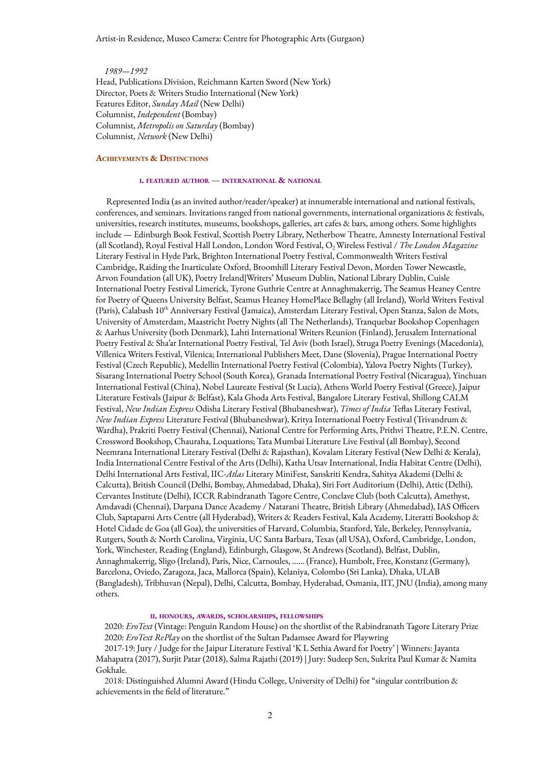### Artist-in Residence, Museo Camera: Centre for Photographic Arts (Gurgaon)

*1989—1992* Head, Publications Division, Reichmann Karten Sword (New York) Director, Poets & Writers Studio International (New York) Features Editor, *Sunday Mail* (New Delhi) Columnist, *Independent* (Bombay) Columnist, *Metropolis on Saturday* (Bombay) Columnist, *Network* (New Delhi)

### **ACHIEVEMENTS & DISTINCTIONS**

#### **<sup>I</sup>. FEATURED AUTHOR** — **INTERNATIONAL & NATIONAL**

Represented India (as an invited author/reader/speaker) at innumerable international and national festivals, conferences, and seminars. Invitations ranged from national governments, international organizations & festivals, universities, research institutes, museums, bookshops, galleries, art cafes & bars, among others. Some highlights include — Edinburgh Book Festival, Scottish Poetry Library, Netherbow Theatre, Amnesty International Festival (all Scotland), Royal Festival Hall London, London Word Festival, O<sub>2</sub> Wireless Festival / *The London Magazine* Literary Festival in Hyde Park, Brighton International Poetry Festival, Commonwealth Writers Festival Cambridge, Raiding the Inarticulate Oxford, Broomhill Literary Festival Devon, Morden Tower Newcastle, Arvon Foundation (all UK), Poetry Ireland|Writers' Museum Dublin, National Library Dublin, Cuisle International Poetry Festival Limerick, Tyrone Guthrie Centre at Annaghmakerrig, The Seamus Heaney Centre for Poetry of Queens University Belfast, Seamus Heaney HomePlace Bellaghy (all Ireland), World Writers Festival (Paris), Calabash 10<sup>th</sup> Anniversary Festival (Jamaica), Amsterdam Literary Festival, Open Stanza, Salon de Mots, University of Amsterdam, Maastricht Poetry Nights (all The Netherlands), Tranquebar Bookshop Copenhagen & Aarhus University (both Denmark), Lahti International Writers Reunion (Finland), Jerusalem International Poetry Festival & Sha'ar International Poetry Festival, Tel Aviv (both Israel), Struga Poetry Evenings (Macedonia), Villenica Writers Festival, Vilenica; International Publishers Meet, Dane (Slovenia), Prague International Poetry Festival (Czech Republic), Medellin International Poetry Festival (Colombia), Yalova Poetry Nights (Turkey), Sisarang International Poetry School (South Korea), Granada International Poetry Festival (Nicaragua), Yinchuan International Festival (China), Nobel Laureate Festival (St Lucia), Athens World Poetry Festival (Greece), Jaipur Literature Festivals (Jaipur & Belfast), Kala Ghoda Arts Festival, Bangalore Literary Festival, Shillong CALM Festival, *New Indian Express* Odisha Literary Festival (Bhubaneshwar), *Times of India* Teflas Literary Festival, *New Indian Express* Literature Festival (Bhubaneshwar), Kritya International Poetry Festival (Trivandrum & Wardha), Prakriti Poetry Festival (Chennai), National Centre for Performing Arts, Prithvi Theatre, P.E.N. Centre, Crossword Bookshop, Chauraha, Loquations; Tata Mumbai Literature Live Festival (all Bombay), Second Neemrana International Literary Festival (Delhi & Rajasthan), Kovalam Literary Festival (New Delhi & Kerala), India International Centre Festival of the Arts (Delhi), Katha Utsav International, India Habitat Centre (Delhi), Delhi International Arts Festival, IIC-*Atlas* Literary MiniFest, Sanskriti Kendra, Sahitya Akademi (Delhi & Calcutta), British Council (Delhi, Bombay, Ahmedabad, Dhaka), Siri Fort Auditorium (Delhi), Attic (Delhi), Cervantes Institute (Delhi), ICCR Rabindranath Tagore Centre, Conclave Club (both Calcutta), Amethyst, Amdavadi (Chennai), Darpana Dance Academy / Natarani Theatre, British Library (Ahmedabad), IAS Officers Club, Saptaparni Arts Centre (all Hyderabad), Writers & Readers Festival, Kala Academy, Literatti Bookshop & Hotel Cidade de Goa (all Goa), the universities of Harvard, Columbia, Stanford, Yale, Berkeley, Pennsylvania, Rutgers, South & North Carolina, Virginia, UC Santa Barbara, Texas (all USA), Oxford, Cambridge, London, York, Winchester, Reading (England), Edinburgh, Glasgow, St Andrews (Scotland), Belfast, Dublin, Annaghmakerrig, Sligo (Ireland), Paris, Nice, Carnoules, …… (France), Humbolt, Free, Konstanz (Germany), Barcelona, Oviedo, Zaragoza, Jaca, Mallorca (Spain), Kelaniya, Colombo (Sri Lanka), Dhaka, ULAB (Bangladesh), Tribhuvan (Nepal), Delhi, Calcutta, Bombay, Hyderabad, Osmania, IIT, JNU (India), among many others.

#### **II. HONOURS, AWARDS, SCHOLARSHIPS, FELLOWSHIPS**

2020: *EroText* (Vintage: Penguin Random House) on the shortlist of the Rabindranath Tagore Literary Prize 2020: *EroText RePlay* on the shortlist of the Sultan Padamsee Award for Playwring

2017-19: Jury / Judge for the Jaipur Literature Festival 'K L Sethia Award for Poetry' | Winners: Jayanta Mahapatra (2017), Surjit Patar (2018), Salma Rajathi (2019) | Jury: Sudeep Sen, Sukrita Paul Kumar & Namita Gokhale.

2018: Distinguished Alumni Award (Hindu College, University of Delhi) for "singular contribution & achievements in the field of literature."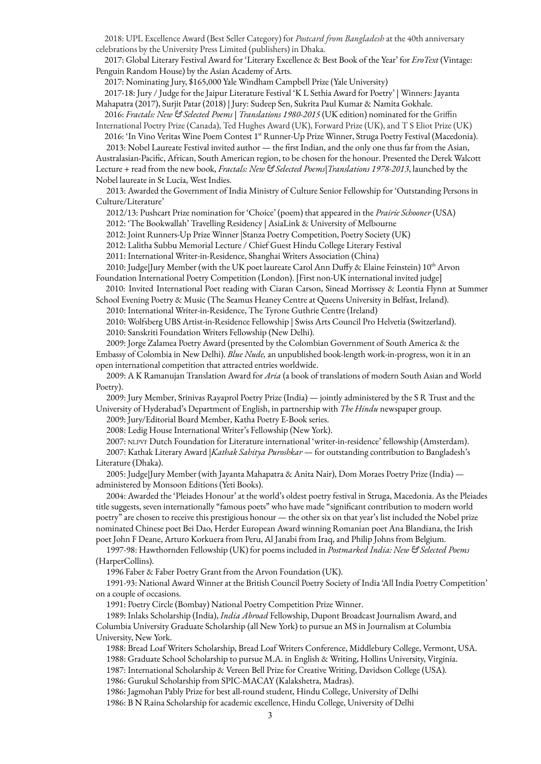2018: UPL Excellence Award (Best Seller Category) for *Postcard from Bangladesh* at the 40th anniversary celebrations by the University Press Limited (publishers) in Dhaka.

2017: Global Literary Festival Award for 'Literary Excellence & Best Book of the Year' for *EroText* (Vintage: Penguin Random House) by the Asian Academy of Arts.

2017: Nominating Jury, \$165,000 Yale Windham Campbell Prize (Yale University)

2017-18: Jury / Judge for the Jaipur Literature Festival 'K L Sethia Award for Poetry' | Winners: Jayanta Mahapatra (2017), Surjit Patar (2018) | Jury: Sudeep Sen, Sukrita Paul Kumar & Namita Gokhale.

2016: *Fractals: New & Selected Poems | Translations 1980-2015* (UK edition) nominated for the Griffin International Poetry Prize (Canada), Ted Hughes Award (UK), Forward Prize (UK), and T S Eliot Prize (UK)

2016: 'In Vino Veritas Wine Poem Contest 1<sup>st</sup> Runner-Up Prize Winner, Struga Poetry Festival (Macedonia). 2013: Nobel Laureate Festival invited author — the first Indian, and the only one thus far from the Asian,

Australasian-Pacific, African, South American region, to be chosen for the honour. Presented the Derek Walcott Lecture + read from the new book, *Fractals: New & Selected Poems|Translations 1978-2013*, launched by the Nobel laureate in St Lucia, West Indies.

2013: Awarded the Government of India Ministry of Culture Senior Fellowship for 'Outstanding Persons in Culture/Literature'

2012/13: Pushcart Prize nomination for 'Choice' (poem) that appeared in the *Prairie Schooner* (USA)

2012: 'The Bookwallah' Travelling Residency | AsiaLink & University of Melbourne

2012: Joint Runners-Up Prize Winner |Stanza Poetry Competition, Poetry Society (UK)

2012: Lalitha Subbu Memorial Lecture / Chief Guest Hindu College Literary Festival

2011: International Writer-in-Residence, Shanghai Writers Association (China)

2010: Judge|Jury Member (with the UK poet laureate Carol Ann Duffy & Elaine Feinstein)  $10^{\text{th}}$  Arvon Foundation International Poetry Competition (London). [First non-UK international invited judge]

2010: Invited International Poet reading with Ciaran Carson, Sinead Morrissey & Leontia Flynn at Summer School Evening Poetry & Music (The Seamus Heaney Centre at Queens University in Belfast, Ireland).

2010: International Writer-in-Residence, The Tyrone Guthrie Centre (Ireland)

2010: Wolfsberg UBS Artist-in-Residence Fellowship | Swiss Arts Council Pro Helvetia (Switzerland). 2010: Sanskriti Foundation Writers Fellowship (New Delhi).

2009: Jorge Zalamea Poetry Award (presented by the Colombian Government of South America & the Embassy of Colombia in New Delhi). *Blue Nude,* an unpublished book-length work-in-progress, won it in an open international competition that attracted entries worldwide.

2009: A K Ramanujan Translation Award for *Aria* (a book of translations of modern South Asian and World Poetry).

2009: Jury Member, Srinivas Rayaprol Poetry Prize (India) — jointly administered by the S R Trust and the University of Hyderabad's Department of English, in partnership with *The Hindu* newspaper group.

2009: Jury/Editorial Board Member, Katha Poetry E-Book series.

2008: Ledig House International Writer's Fellowship (New York).

2007: NLPVF Dutch Foundation for Literature international 'writer-in-residence' fellowship (Amsterdam). 2007: Kathak Literary Award |*Kathak Sahitya Puroshkar* — for outstanding contribution to Bangladesh's Literature (Dhaka).

2005: Judge|Jury Member (with Jayanta Mahapatra & Anita Nair), Dom Moraes Poetry Prize (India) administered by Monsoon Editions (Yeti Books).

2004: Awarded the 'Pleiades Honour' at the world's oldest poetry festival in Struga, Macedonia. As the Pleiades title suggests, seven internationally "famous poets" who have made "significant contribution to modern world poetry" are chosen to receive this prestigious honour — the other six on that year's list included the Nobel prize nominated Chinese poet Bei Dao, Herder European Award winning Romanian poet Ana Blandiana, the Irish poet John F Deane, Arturo Korkuera from Peru, Al Janabi from Iraq, and Philip Johns from Belgium.

1997-98: Hawthornden Fellowship (UK) for poems included in *Postmarked India: New & Selected Poems* (HarperCollins).

1996 Faber & Faber Poetry Grant from the Arvon Foundation (UK).

1991-93: National Award Winner at the British Council Poetry Society of India 'All India Poetry Competition' on a couple of occasions.

1991: Poetry Circle (Bombay) National Poetry Competition Prize Winner.

1989: Inlaks Scholarship (India), *India Abroad* Fellowship, Dupont Broadcast Journalism Award, and Columbia University Graduate Scholarship (all New York) to pursue an MS in Journalism at Columbia University, New York.

1988: Bread Loaf Writers Scholarship, Bread Loaf Writers Conference, Middlebury College, Vermont, USA.

1988: Graduate School Scholarship to pursue M.A. in English & Writing, Hollins University, Virginia.

1987: International Scholarship & Vereen Bell Prize for Creative Writing, Davidson College (USA).

1986: Gurukul Scholarship from SPIC-MACAY (Kalakshetra, Madras).

1986: Jagmohan Pably Prize for best all-round student, Hindu College, University of Delhi

1986: B N Raina Scholarship for academic excellence, Hindu College, University of Delhi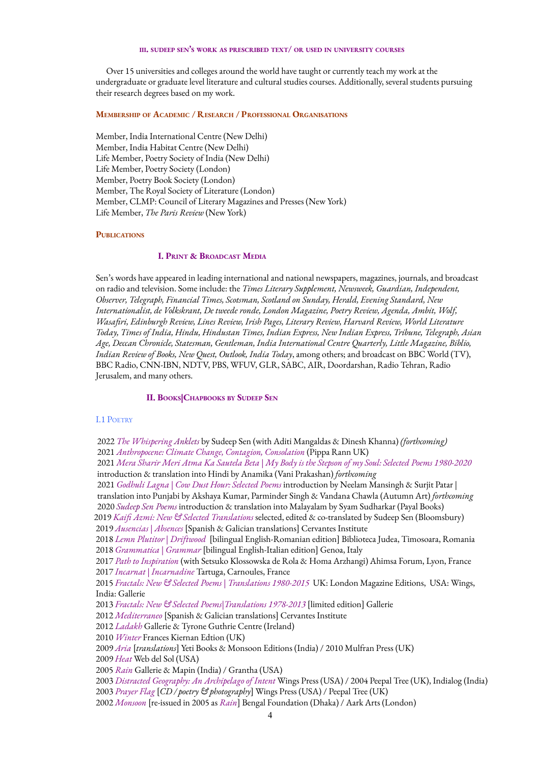# **III. SUDEEP SEN'<sup>S</sup> WORK AS PRESCRIBED TEXT/ OR USED IN UNIVERSITY COURSES**

Over 15 universities and colleges around the world have taught or currently teach my work at the undergraduate or graduate level literature and cultural studies courses. Additionally, several students pursuing their research degrees based on my work.

# **MEMBERSHIP OF ACADEMIC / RESEARCH / PROFESSIONAL ORGANISATIONS**

Member, India International Centre (New Delhi) Member, India Habitat Centre (New Delhi) Life Member, Poetry Society of India (New Delhi) Life Member, Poetry Society (London) Member, Poetry Book Society (London) Member, The Royal Society of Literature (London) Member, CLMP: Council of Literary Magazines and Presses (New York) Life Member, *The Paris Review* (New York)

# **PUBLICATIONS**

# **I. PRINT & BROADCAST MEDIA**

Sen's words have appeared in leading international and national newspapers, magazines, journals, and broadcast on radio and television. Some include: the *Times Literary Supplement, Newsweek, Guardian, Independent, Observer, Telegraph, Financial Times, Scotsman, Scotland on Sunday, Herald, Evening Standard, New Internationalist, de Volkskrant, De tweede ronde, London Magazine, Poetry Review, Agenda, Ambit, Wolf, Wasafiri, Edinburgh Review, Lines Review, Irish Pages, Literary Review, Harvard Review, World Literature Today, Times of India, Hindu, Hindustan Times, Indian Express, New Indian Express, Tribune, Telegraph, Asian Age, Deccan Chronicle, Statesman, Gentleman, India International Centre Quarterly, Little Magazine, Biblio, Indian Review of Books, New Quest, Outlook, India Today*, among others; and broadcast on BBC World (TV), BBC Radio, CNN-IBN, NDTV, PBS, WFUV, GLR, SABC, AIR, Doordarshan, Radio Tehran, Radio Jerusalem, and many others.

### **II. BOOKS|CHAPBOOKS BY SUDEEP SEN**

#### I.1 POETRY

 *The Whispering Anklets* by Sudeep Sen (with Aditi Mangaldas & Dinesh Khanna) *(forthcoming) Anthropocene: Climate Change, Contagion, Consolation* (Pippa Rann UK) 2021 Mera Sharir Meri Atma Ka Sautela Beta | My Body is the Stepson of my Soul: Selected Poems 1980-2020 introduction & translation into Hindi by Anamika (Vani Prakashan) *forthcoming Godhuli Lagna | Cow Dust Hour: Selected Poems* introduction by Neelam Mansingh & Surjit Patar | translation into Punjabi by Akshaya Kumar, Parminder Singh & Vandana Chawla (Autumn Art) *forthcoming Sudeep Sen Poems* introduction & translation into Malayalam by Syam Sudharkar (Payal Books) *Kaifi Azmi: New & Selected Translations* selected, edited & co-translated by Sudeep Sen (Bloomsbury) *Ausencias | Absences* [Spanish & Galician translations] Cervantes Institute *Lemn Plutitor | Driftwood* [bilingual English-Romanian edition] Biblioteca Judea, Timosoara, Romania *Grammatica | Grammar* [bilingual English-Italian edition] Genoa, Italy *Path to Inspiration* (with Setsuko Klossowska de Rola & Homa Arzhangi) Ahimsa Forum, Lyon, France *Incarnat | Incarnadine* Tartuga, Carnoules, France *Fractals: New & Selected Poems | Translations 1980-2015* UK: London Magazine Editions, USA: Wings, India: Gallerie *Fractals: New & Selected Poems|Translations 1978-2013* [limited edition] Gallerie *Mediterraneo* [Spanish & Galician translations] Cervantes Institute *Ladakh* Gallerie & Tyrone Guthrie Centre (Ireland) *Winter* Frances Kiernan Edtion (UK) *Aria* [*translations*] Yeti Books & Monsoon Editions (India) / 2010 Mulfran Press (UK) *Heat* Web del Sol (USA) *Rain* Gallerie & Mapin (India) / Grantha (USA) *Distracted Geography: An Archipelago of Intent* Wings Press (USA) / 2004 Peepal Tree (UK), Indialog (India) *Prayer Flag* [*CD / poetry & photography*] Wings Press (USA) / Peepal Tree (UK) *Monsoon* [re-issued in 2005 as *Rain*] Bengal Foundation (Dhaka) / Aark Arts (London)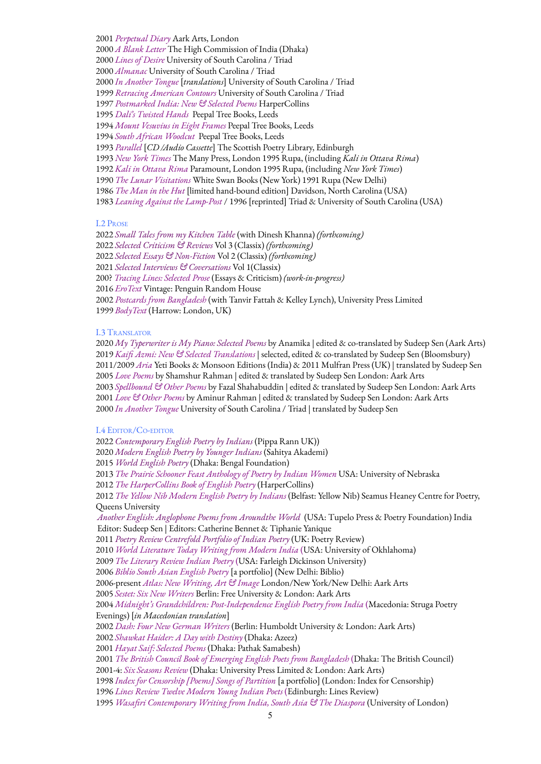*Perpetual Diary* Aark Arts, London *A Blank Letter* The High Commission of India (Dhaka) *Lines of Desire* University of South Carolina / Triad *Almanac* University of South Carolina / Triad *In Another Tongue* [*translations*] University of South Carolina / Triad *Retracing American Contours* University of South Carolina / Triad *Postmarked India: New & Selected Poems* HarperCollins *Dali's Twisted Hands* Peepal Tree Books, Leeds *Mount Vesuvius in Eight Frames* Peepal Tree Books, Leeds *South African Woodcut* Peepal Tree Books, Leeds *Parallel* [*CD /Audio Cassette*] The Scottish Poetry Library, Edinburgh *New York Times* The Many Press, London 1995 Rupa, (including *Kali in Ottava Rima*) *Kali in Ottava Rima* Paramount, London 1995 Rupa, (including *New York Times*) *The Lunar Visitations* White Swan Books (New York) 1991 Rupa (New Delhi) *The Man in the Hut* [limited hand-bound edition] Davidson, North Carolina (USA) *Leaning Against the Lamp-Post* / 1996 [reprinted] Triad & University of South Carolina (USA)

# I.2 PROSE

 *Small Tales from my Kitchen Table* (with Dinesh Khanna) *(forthcoming) Selected Criticism & Reviews* Vol 3 (Classix) *(forthcoming) Selected Essays & Non-Fiction* Vol 2 (Classix) *(forthcoming) Selected Interviews & Coversations* Vol 1(Classix) 200? *Tracing Lines: Selected Prose* (Essays & Criticism) *(work-in-progress) EroText* Vintage: Penguin Random House *Postcards from Bangladesh* (with Tanvir Fattah & Kelley Lynch), University Press Limited *BodyText* (Harrow: London, UK)

# I.3 TRANSLATOR

 *My Typerwriter is My Piano: Selected Poems* by Anamika | edited & co-translated by Sudeep Sen (Aark Arts) *Kaifi Azmi: New & Selected Translations* | selected, edited & co-translated by Sudeep Sen (Bloomsbury) 2011/2009 *Aria* Yeti Books & Monsoon Editions (India) & 2011 Mulfran Press (UK) | translated by Sudeep Sen *Love Poems* by Shamshur Rahman | edited & translated by Sudeep Sen London: Aark Arts *Spellbound & Other Poems* by Fazal Shahabuddin | edited & translated by Sudeep Sen London: Aark Arts *Love & Other Poems* by Aminur Rahman | edited & translated by Sudeep Sen London: Aark Arts *In Another Tongue* University of South Carolina / Triad | translated by Sudeep Sen

### I.4 EDITOR/CO-EDITOR

 *Contemporary English Poetry by Indians* (Pippa Rann UK)) *Modern English Poetry by Younger Indians* (Sahitya Akademi) *World English Poetry* (Dhaka: Bengal Foundation) *The Prairie Schooner Feast Anthology of Poetry by Indian Women* USA: University of Nebraska *The HarperCollins Book of English Poetry* (HarperCollins) *The Yellow Nib Modern English Poetry by Indians* (Belfast: Yellow Nib) Seamus Heaney Centre for Poetry, Queens University *Another English: Anglophone Poems from Aroundthe World* (USA: Tupelo Press & Poetry Foundation) India Editor: Sudeep Sen | Editors: Catherine Bennet & Tiphanie Yanique *Poetry Review Centrefold Portfolio of Indian Poetry* (UK: Poetry Review) *World Literature Today Writing from Modern India* (USA: University of Okhlahoma) *The Literary Review Indian Poetry* (USA: Farleigh Dickinson University) *Biblio South Asian English Poetry* [a portfolio] (New Delhi: Biblio) *-*present *Atlas: New Writing, Art & Image* London/New York/New Delhi: Aark Arts *Sestet: Six New Writers* Berlin: Free University & London: Aark Arts *Midnight's Grandchildren: Post-Independence English Poetry from India* (Macedonia: Struga Poetry Evenings) [*in Macedonian translation*] *Dash: Four New German Writers* (Berlin: Humboldt University & London: Aark Arts) *Shawkat Haider: A Day with Destiny* (Dhaka: Azeez) *Hayat Saif: Selected Poems* (Dhaka: Pathak Samabesh) *The British Council Book of Emerging English Poets from Bangladesh* (Dhaka: The British Council) 2001-4: *Six Seasons Review* (Dhaka: University Press Limited & London: Aark Arts) *Index for Censorship [Poems] Songs of Partition* [a portfolio] (London: Index for Censorship) *Lines Review Twelve Modern Young Indian Poets* (Edinburgh: Lines Review) *Wasafiri Contemporary Writing from India, South Asia & The Diaspora* (University of London)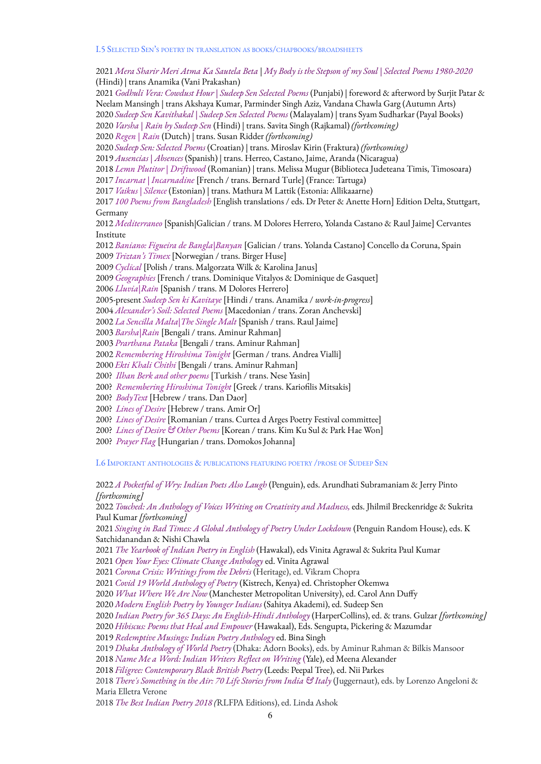I.5 SELECTED SEN'<sup>S</sup> POETRY IN TRANSLATION AS BOOKS/CHAPBOOKS/BROADSHEETS

2021 Mera Sharir Meri Atma Ka Sautela Beta | My Body is the Stepson of my Soul | Selected Poems 1980-2020 (Hindi) | trans Anamika (Vani Prakashan) *Godhuli Vera: Cowdust Hour | Sudeep Sen Selected Poems* (Punjabi) | foreword & afterword by Surjit Patar & Neelam Mansingh | trans Akshaya Kumar, Parminder Singh Aziz, Vandana Chawla Garg (Autumn Arts) *Sudeep Sen Kavithakal | Sudeep Sen Selected Poems* (Malayalam) | trans Syam Sudharkar (Payal Books) *Varsha | Rain by Sudeep Sen* (Hindi) | trans. Savita Singh (Rajkamal) *(forthcoming) Regen | Rain* (Dutch) | trans. Susan Ridder *(forthcoming) Sudeep Sen: Selected Poems* (Croatian) | trans. Miroslav Kirin (Fraktura) *(forthcoming) Ausencias | Absences* (Spanish) | trans. Herreo, Castano, Jaime, Aranda (Nicaragua) *Lemn Plutitor | Driftwood* (Romanian) | trans. Melissa Mugur (Biblioteca Judeteana Timis, Timosoara) *Incarnat | Incarnadine* [French / trans. Bernard Turle] (France: Tartuga) *Vaikus | Silence* (Estonian) | trans. Mathura M Lattik (Estonia: Allikaaarne) *100 Poems from Bangladesh* [English translations / eds. Dr Peter & Anette Horn] Edition Delta, Stuttgart, Germany *Mediterraneo* [Spanish|Galician / trans. M Dolores Herrero, Yolanda Castano & Raul Jaime] Cervantes Institute *Baniano: Figueira de Bangla|Banyan* [Galician / trans. Yolanda Castano] Concello da Coruna, Spain *Triztan's Timex* [Norwegian / trans. Birger Huse] *Cyclical* [Polish / trans. Malgorzata Wilk & Karolina Janus] *Geographies* [French / trans. Dominique Vitalyos & Dominique de Gasquet] *Lluvia|Rain* [Spanish / trans. M Dolores Herrero] 2005-present *Sudeep Sen ki Kavitaye* [Hindi / trans. Anamika / *work-in-progress*] *Alexander's Soil: Selected Poems* [Macedonian / trans. Zoran Anchevski] *La Sencilla Malta|The Single Malt* [Spanish / trans. Raul Jaime] *Barsha|Rain* [Bengali / trans. Aminur Rahman] *Prarthana Pataka* [Bengali / trans. Aminur Rahman] *Remembering Hiroshima Tonight* [German / trans. Andrea Vialli] *Ekti Khali Chithi* [Bengali / trans. Aminur Rahman] 200? *Ilhan Berk and other poems* [Turkish / trans. Nese Yasin] 200? *Remembering Hiroshima Tonight* [Greek / trans. Kariofilis Mitsakis] 200? *BodyText* [Hebrew / trans. Dan Daor] 200? *Lines of Desire* [Hebrew / trans. Amir Or] 200? *Lines of Desire* [Romanian / trans. Curtea d Arges Poetry Festival committee] 200? *Lines of Desire & Other Poems* [Korean / trans. Kim Ku Sul & Park Hae Won] 200? *Prayer Flag* [Hungarian / trans. Domokos Johanna] I.6 IMPORTANT ANTHOLOGIES & PUBLICATIONS FEATURING POETRY /PROSE OF SUDEEP SEN *A Pocketful of Wry: Indian Poets Also Laugh* (Penguin), eds. Arundhati Subramaniam & Jerry Pinto

*[forthcoming]*

 *Touched: An Anthology of Voices Writing on Creativity and Madness,* eds. Jhilmil Breckenridge & Sukrita Paul Kumar *[forthcoming]*

 *Singing in Bad Times: A Global Anthology of Poetry Under Lockdown* (Penguin Random House), eds. K Satchidanandan & Nishi Chawla

*The Yearbook of Indian Poetry in English* (Hawakal), eds Vinita Agrawal & Sukrita Paul Kumar

*Open Your Eyes: Climate Change Anthology* ed. Vinita Agrawal

*Corona Crisis: Writings from the Debris* (Heritage), ed. Vikram Chopra

*Covid 19 World Anthology of Poetry* (Kistrech, Kenya) ed. Christopher Okemwa

*What Where We Are Now* (Manchester Metropolitan University), ed. Carol Ann Duffy

*Modern English Poetry by Younger Indians* (Sahitya Akademi), ed. Sudeep Sen

*Indian Poetry for 365 Days: An English-Hindi Anthology* (HarperCollins), ed. & trans. Gulzar *[forthcoming]*

*Hibiscus: Poems that Heal and Empower* (Hawakaal), Eds. Sengupta, Pickering & Mazumdar

*Redemptive Musings: Indian Poetry Anthology* ed. Bina Singh

*Dhaka Anthology of World Poetry* (Dhaka: Adorn Books), eds. by Aminur Rahman & Bilkis Mansoor

*Name Me a Word: Indian Writers Reflect on Writing* (Yale), ed Meena Alexander

*Filigree: Contemporary Black British Poetry* (Leeds: Peepal Tree), ed. Nii Parkes

 *There's Something in the Air: 70 Life Stories from India & Italy* (Juggernaut), eds. by Lorenzo Angeloni & Maria Elletra Verone

*The Best Indian Poetry 2018 (*RLFPA Editions), ed. Linda Ashok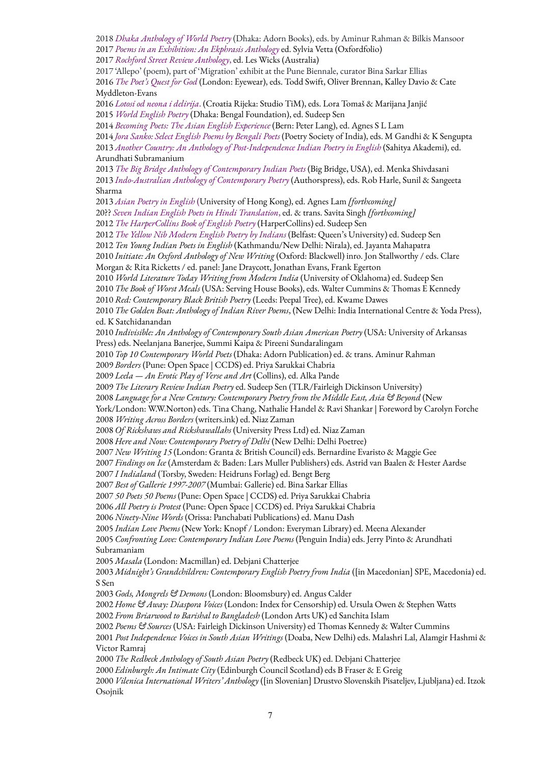*Dhaka Anthology of World Poetry* (Dhaka: Adorn Books), eds. by Aminur Rahman & Bilkis Mansoor *Poems in an Exhibition: An Ekphrasis Anthology* ed. Sylvia Vetta (Oxfordfolio)

*Rochford Street Review Anthology*, ed. Les Wicks (Australia)

 'Allepo' (poem), part of 'Migration' exhibit at the Pune Biennale, curator Bina Sarkar Ellias *The Poet's Quest for God* (London: Eyewear), eds. Todd Swift, Oliver Brennan, Kalley Davio & Cate Myddleton-Evans

 *Lotosi od neona i delirija*. (Croatia Rijeka: Studio TiM), eds. Lora Tomaš & Marijana Janjić *World English Poetry* (Dhaka: Bengal Foundation), ed. Sudeep Sen

*Becoming Poets: The Asian English Experience* (Bern: Peter Lang), ed. Agnes S L Lam

 *Jora Sanko: Select English Poems by Bengali Poets* (Poetry Society of India), eds. M Gandhi & K Sengupta *Another Country: An Anthology of Post-Independence Indian Poetry in English* (Sahitya Akademi), ed. Arundhati Subramanium

 *The Big Bridge Anthology of Contemporary Indian Poets* (Big Bridge, USA), ed. Menka Shivdasani *Indo-Australian Anthology of Contemporary Poetry* (Authorspress), eds. Rob Harle, Sunil & Sangeeta Sharma

 *Asian Poetry in English* (University of Hong Kong), ed. Agnes Lam *[forthcoming]* 20?? *Seven Indian English Poets in Hindi Translation*, ed. & trans. Savita Singh *[forthcoming]*

*The HarperCollins Book of English Poetry* (HarperCollins) ed. Sudeep Sen

 *The Yellow Nib Modern English Poetry by Indians* (Belfast: Queen's University) ed. Sudeep Sen *Ten Young Indian Poets in English* (Kathmandu/New Delhi: Nirala), ed. Jayanta Mahapatra

 *Initiate: An Oxford Anthology of New Writing* (Oxford: Blackwell) inro. Jon Stallworthy / eds. Clare Morgan & Rita Ricketts / ed. panel: Jane Draycott, Jonathan Evans, Frank Egerton

*World Literature Today Writing from Modern India* (University of Oklahoma) ed. Sudeep Sen

*The Book of Worst Meals* (USA: Serving House Books), eds. Walter Cummins & Thomas E Kennedy

*Red: Contemporary Black British Poetry* (Leeds: Peepal Tree), ed. Kwame Dawes

 *The Golden Boat: Anthology of Indian River Poems*, (New Delhi: India International Centre & Yoda Press), ed. K Satchidanandan

 *Indivisible: An Anthology of Contemporary South Asian American Poetry* (USA: University of Arkansas Press) eds. Neelanjana Banerjee, Summi Kaipa & Pireeni Sundaralingam

*Top 10 Contemporary World Poets* (Dhaka: Adorn Publication) ed. & trans. Aminur Rahman

*Borders* (Pune: Open Space | CCDS) ed. Priya Sarukkai Chabria

*Leela — An Erotic Play of Verse and Art* (Collins), ed. Alka Pande

*The Literary Review Indian Poetry* ed. Sudeep Sen (TLR/Fairleigh Dickinson University)

*Language for a New Century: Contemporary Poetry from the Middle East, Asia & Beyond* (New

York/London: W.W.Norton) eds. Tina Chang, Nathalie Handel & Ravi Shankar | Foreword by Carolyn Forche *Writing Across Borders* (writers.ink) ed. Niaz Zaman

*Of Rickshaws and Rickshawallahs* (University Press Ltd) ed. Niaz Zaman

*Here and Now: Contemporary Poetry of Delhi* (New Delhi: Delhi Poetree)

*New Writing 15* (London: Granta & British Council) eds. Bernardine Evaristo & Maggie Gee

*Findings on Ice* (Amsterdam & Baden: Lars Muller Publishers) eds. Astrid van Baalen & Hester Aardse

*I Indialand* (Torsby, Sweden: Heidruns Forlag) ed. Bengt Berg

*Best of Gallerie 1997-2007* (Mumbai: Gallerie) ed. Bina Sarkar Ellias

*50 Poets 50 Poems* (Pune: Open Space | CCDS) ed. Priya Sarukkai Chabria

*All Poetry is Protest* (Pune: Open Space | CCDS) ed. Priya Sarukkai Chabria

*Ninety-Nine Words* (Orissa: Panchabati Publications) ed. Manu Dash

*Indian Love Poems* (New York: Knopf / London: Everyman Library) ed. Meena Alexander

 *Confronting Love: Contemporary Indian Love Poems* (Penguin India) eds. Jerry Pinto & Arundhati Subramaniam

*Masala* (London: Macmillan) ed. Debjani Chatterjee

 *Midnight's Grandchildren: Contemporary English Poetry from India* ([in Macedonian] SPE, Macedonia) ed. S Sen

*Gods, Mongrels & Demons* (London: Bloomsbury) ed. Angus Calder

 *Home & Away: Diaspora Voices* (London: Index for Censorship) ed. Ursula Owen & Stephen Watts *From Briarwood to Barishal to Bangladesh* (London Arts UK) ed Sanchita Islam

*Poems & Sources* (USA: Fairleigh Dickinson University) ed Thomas Kennedy & Walter Cummins

 *Post Independence Voices in South Asian Writings* (Doaba, New Delhi) eds. Malashri Lal, Alamgir Hashmi & Victor Ramraj

*The Redbeck Anthology of South Asian Poetry* (Redbeck UK) ed. Debjani Chatterjee

*Edinburgh: An Intimate City* (Edinburgh Council Scotland) eds B Fraser & E Greig

 *Vilenica International Writers' Anthology* ([in Slovenian] Drustvo Slovenskih Pisateljev, Ljubljana) ed. Itzok Osojnik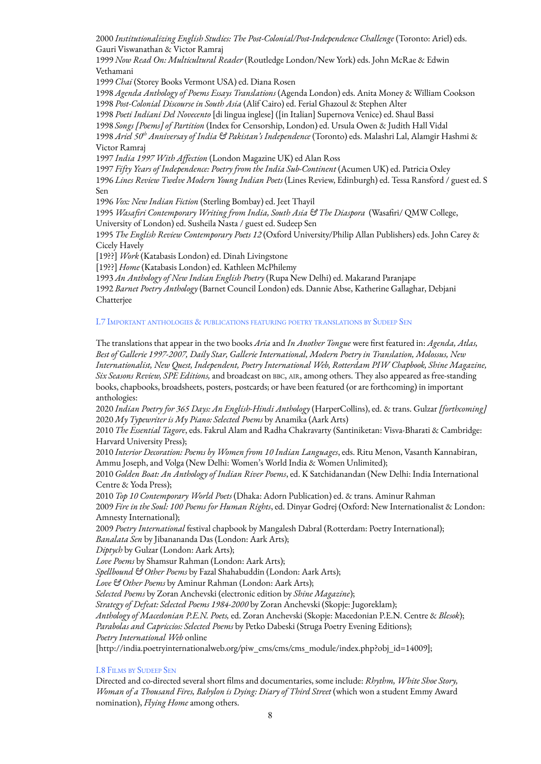2000 *Institutionalizing English Studies: The Post-Colonial/Post-Independence Challenge* (Toronto: Ariel) eds. Gauri Viswanathan & Victor Ramraj

1999 *Now Read On: Multicultural Reader* (Routledge London/New York) eds. John McRae & Edwin Vethamani

1999 *Chai* (Storey Books Vermont USA) ed. Diana Rosen

1998 *Agenda Anthology of Poems Essays Translations* (Agenda London) eds. Anita Money & William Cookson 1998 *Post-Colonial Discourse in South Asia* (Alif Cairo) ed. Ferial Ghazoul & Stephen Alter

 *Poeti Indiani Del Novecento* [di lingua inglese] ([in Italian] Supernova Venice) ed. Shaul Bassi *Songs [Poems] of Partition* (Index for Censorship, London) ed. Ursula Owen & Judith Hall Vidal *Ariel 50 th Anniversay of India & Pakistan's Independence* (Toronto) eds. Malashri Lal, Alamgir Hashmi & Victor Ramraj

1997 *India 1997 With Affection* (London Magazine UK) ed Alan Ross

1997 *Fifty Years of Independence: Poetry from the India Sub-Continent* (Acumen UK) ed. Patricia Oxley 1996 *Lines Review Twelve Modern Young Indian Poets* (Lines Review, Edinburgh) ed. Tessa Ransford / guest ed. S Sen

1996 *Vox: New Indian Fiction* (Sterling Bombay) ed. Jeet Thayil

1995 *Wasafiri Contemporary Writing from India, South Asia & The Diaspora* (Wasafiri/ QMW College, University of London) ed. Susheila Nasta / guest ed. Sudeep Sen

1995 *The English Review Contemporary Poets 12* (Oxford University/Philip Allan Publishers) eds. John Carey & Cicely Havely

[19??] *Work* (Katabasis London) ed. Dinah Livingstone

[19??] *Home* (Katabasis London) ed. Kathleen McPhilemy

1993 *An Anthology of New Indian English Poetry* (Rupa New Delhi) ed. Makarand Paranjape

1992 *Barnet Poetry Anthology* (Barnet Council London) eds. Dannie Abse, Katherine Gallaghar, Debjani Chatterjee

# I.7 IMPORTANT ANTHOLOGIES & PUBLICATIONS FEATURING POETRY TRANSLATIONS BY SUDEEP SEN

The translations that appear in the two books *Aria* and *In Another Tongue* were first featured in: *Agenda, Atlas, Best of Gallerie 1997-2007, Daily Star, Gallerie International, Modern Poetry in Translation, Molossus, New Internationalist, New Quest, Independent, Poetry International Web, Rotterdam PIW Chapbook, Shine Magazine, Six Seasons Review, SPE Editions,* and broadcast on BBC, AIR, among others. They also appeared as free-standing books, chapbooks, broadsheets, posters, postcards; or have been featured (or are forthcoming) in important anthologies:

2020 *Indian Poetry for 365 Days: An English-Hindi Anthology* (HarperCollins), ed. & trans. Gulzar *[forthcoming]* 2020 *My Typewriter is My Piano: Selected Poems* by Anamika (Aark Arts)

2010 *The Essential Tagore*, eds. Fakrul Alam and Radha Chakravarty (Santiniketan: Visva-Bharati & Cambridge: Harvard University Press);

2010 *Interior Decoration: Poems by Women from 10 Indian Languages*, eds. Ritu Menon, Vasanth Kannabiran, Ammu Joseph, and Volga (New Delhi: Women's World India & Women Unlimited);

2010 *Golden Boat: An Anthology of Indian River Poems*, ed. K Satchidanandan (New Delhi: India International Centre & Yoda Press);

2010 *Top 10 Contemporary World Poets* (Dhaka: Adorn Publication) ed. & trans. Aminur Rahman 2009 *Fire in the Soul: 100 Poems for Human Rights*, ed. Dinyar Godrej (Oxford: New Internationalist & London: Amnesty International);

2009 *Poetry International* festival chapbook by Mangalesh Dabral (Rotterdam: Poetry International);

*Banalata Sen* by Jibanananda Das (London: Aark Arts);

*Diptych* by Gulzar (London: Aark Arts);

*Love Poems* by Shamsur Rahman (London: Aark Arts);

*Spellbound & Other Poems* by Fazal Shahabuddin (London: Aark Arts);

*Love & Other Poems* by Aminur Rahman (London: Aark Arts);

*Selected Poems* by Zoran Anchevski (electronic edition by *Shine Magazine*);

*Strategy of Defeat: Selected Poems 1984-2000* by Zoran Anchevski (Skopje: Jugoreklam);

*Anthology of Macedonian P.E.N. Poets,* ed. Zoran Anchevski (Skopje: Macedonian P.E.N. Centre & *Blesok*);

*Parabolas and Capriccios: Selected Poems* by Petko Dabeski (Struga Poetry Evening Editions); *Poetry International Web* online

[http://india.poetryinternationalweb.org/piw\_cms/cms/cms\_module/index.php?obj\_id=14009];

# I.8 FILMS BY SUDEEP SEN

Directed and co-directed several short films and documentaries, some include: *Rhythm, White Shoe Story, Woman of a Thousand Fires, Babylon is Dying: Diary of Third Street* (which won a student Emmy Award nomination), *Flying Home* among others.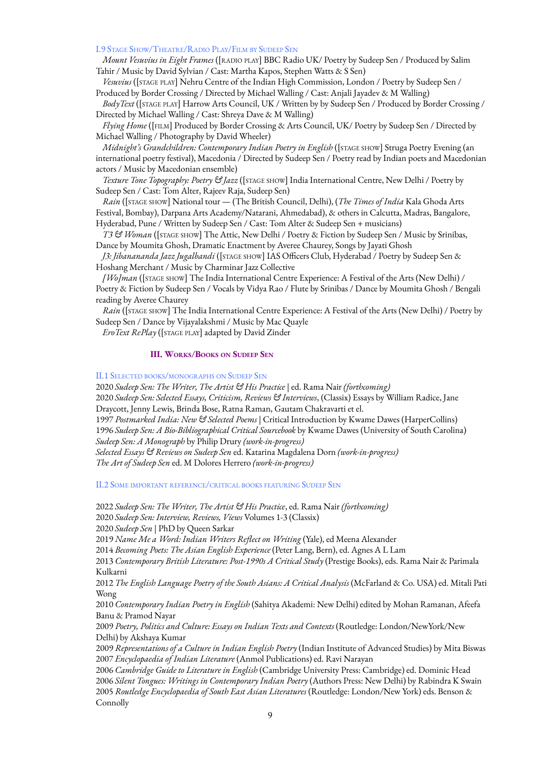# I.9 STAGE SHOW/THEATRE/RADIO PLAY/FILM BY SUDEEP SEN

*Mount Vesuvius in Eight Frames* ([RADIO PLAY] BBC Radio UK/ Poetry by Sudeep Sen / Produced by Salim Tahir / Music by David Sylvian / Cast: Martha Kapos, Stephen Watts & S Sen)

*Vesuvius* ([STAGE PLAY] Nehru Centre of the Indian High Commission, London / Poetry by Sudeep Sen / Produced by Border Crossing / Directed by Michael Walling / Cast: Anjali Jayadev & M Walling)

*BodyText* ([STAGE PLAY] Harrow Arts Council, UK / Written by by Sudeep Sen / Produced by Border Crossing / Directed by Michael Walling / Cast: Shreya Dave & M Walling)

*Flying Home* ([FILM] Produced by Border Crossing & Arts Council, UK/ Poetry by Sudeep Sen / Directed by Michael Walling / Photography by David Wheeler)

*Midnight's Grandchildren: Contemporary Indian Poetry in English* ([STAGE SHOW] Struga Poetry Evening (an international poetry festival), Macedonia / Directed by Sudeep Sen / Poetry read by Indian poets and Macedonian actors / Music by Macedonian ensemble)

*Texture Tone Topography: Poetry & Jazz* ([STAGE SHOW] India International Centre, New Delhi / Poetry by Sudeep Sen / Cast: Tom Alter, Rajeev Raja, Sudeep Sen)

*Rain* ([STAGE SHOW] National tour — (The British Council, Delhi), (*The Times of India* Kala Ghoda Arts Festival, Bombay), Darpana Arts Academy/Natarani, Ahmedabad), & others in Calcutta, Madras, Bangalore, Hyderabad, Pune / Written by Sudeep Sen / Cast: Tom Alter & Sudeep Sen + musicians)

*T3 & Woman* ([STAGE SHOW] The Attic, New Delhi / Poetry & Fiction by Sudeep Sen / Music by Srinibas, Dance by Moumita Ghosh, Dramatic Enactment by Averee Chaurey, Songs by Jayati Ghosh

*J3: Jibanananda Jazz Jugalbandi* ([STAGE SHOW] IAS Officers Club, Hyderabad / Poetry by Sudeep Sen & Hoshang Merchant / Music by Charminar Jazz Collective

*[Wo]man* ([STAGE SHOW] The India International Centre Experience: A Festival of the Arts (New Delhi) / Poetry & Fiction by Sudeep Sen / Vocals by Vidya Rao / Flute by Srinibas / Dance by Moumita Ghosh / Bengali reading by Averee Chaurey

*Rain* ([STAGE SHOW] The India International Centre Experience: A Festival of the Arts (New Delhi) / Poetry by Sudeep Sen / Dance by Vijayalakshmi / Music by Mac Quayle

*EroText RePlay* ([STAGE PLAY] adapted by David Zinder

# **III. WORKS/BOOKS ON SUDEEP SEN**

II.1 SELECTED BOOKS/MONOGRAPHS ON SUDEEP SEN

2020 *Sudeep Sen: The Writer, The Artist & His Practice* | ed. Rama Nair *(forthcoming)* 2020 *Sudeep Sen: Selected Essays, Criticism, Reviews & Interviews*, (Classix) Essays by William Radice, Jane Draycott, Jenny Lewis, Brinda Bose, Ratna Raman, Gautam Chakravarti et el. 1997 *Postmarked India: New & Selected Poems |* Critical Introduction by Kwame Dawes (HarperCollins) 1996 *Sudeep Sen: A Bio-Bibliographical Critical Sourcebook* by Kwame Dawes (University of South Carolina) *Sudeep Sen: A Monograph* by Philip Drury *(work-in-progress) Selected Essays & Reviews on Sudeep Sen* ed. Katarina Magdalena Dorn *(work-in-progress)*

*The Art of Sudeep Sen* ed. M Dolores Herrero *(work-in-progress)*

II.2 SOME IMPORTANT REFERENCE/CRITICAL BOOKS FEATURING SUDEEP SEN

2022 *Sudeep Sen: The Writer, The Artist & His Practice*, ed. Rama Nair *(forthcoming)* 2020 *Sudeep Sen: Interview, Reviews, Views* Volumes 1-3 (Classix) 2020 *Sudeep Sen* | PhD by Queen Sarkar

2019 *Name Me a Word: Indian Writers Reflect on Writing* (Yale), ed Meena Alexander

2014 *Becoming Poets: The Asian English Experience* (Peter Lang, Bern), ed. Agnes A L Lam

2013 *Contemporary British Literature: Post-1990s A Critical Study* (Prestige Books), eds. Rama Nair & Parimala Kulkarni

2012 *The English Language Poetry of the South Asians: A Critical Analysis* (McFarland & Co. USA) ed. Mitali Pati Wong

2010 *Contemporary Indian Poetry in English* (Sahitya Akademi: New Delhi) edited by Mohan Ramanan, Afeefa Banu & Pramod Nayar

2009 *Poetry, Politics and Culture: Essays on Indian Texts and Contexts* (Routledge: London/NewYork/New Delhi) by Akshaya Kumar

2009 *Representations of a Culture in Indian English Poetry* (Indian Institute of Advanced Studies) by Mita Biswas 2007 *Encyclopaedia of Indian Literature* (Anmol Publications) ed. Ravi Narayan

 *Cambridge Guide to Literature in English* (Cambridge University Press: Cambridge) ed. Dominic Head *Silent Tongues: Writings in Contemporary Indian Poetry* (Authors Press: New Delhi) by Rabindra K Swain *Routledge Encyclopaedia of South East Asian Literatures* (Routledge: London/New York) eds. Benson & Connolly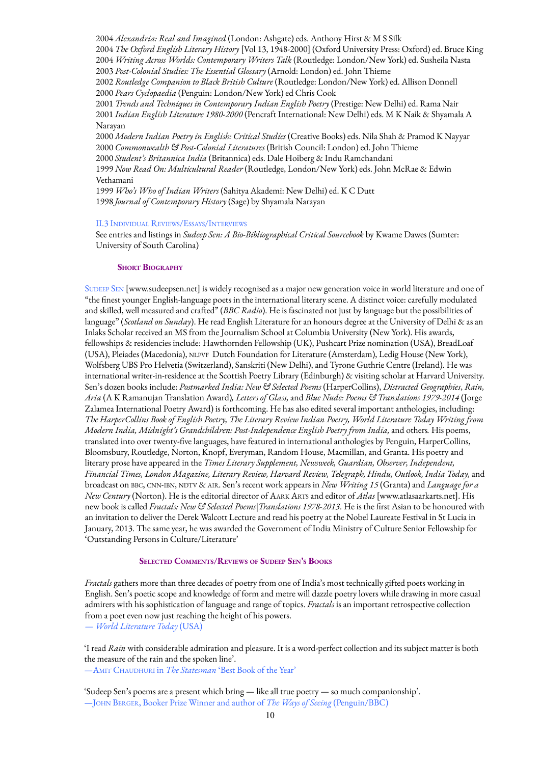*Alexandria: Real and Imagined* (London: Ashgate) eds. Anthony Hirst & M S Silk *The Oxford English Literary History* [Vol 13, 1948-2000] (Oxford University Press: Oxford) ed. Bruce King *Writing Across Worlds: Contemporary Writers Talk* (Routledge: London/New York) ed. Susheila Nasta *Post-Colonial Studies: The Essential Glossary* (Arnold: London) ed. John Thieme *Routledge Companion to Black British Culture* (Routledge: London/New York) ed. Allison Donnell *Pears Cyclopaedia* (Penguin: London/New York) ed Chris Cook *Trends and Techniques in Contemporary Indian English Poetry* (Prestige: New Delhi) ed. Rama Nair *Indian English Literature 1980-2000* (Pencraft International: New Delhi) eds. M K Naik & Shyamala A Narayan *Modern Indian Poetry in English: Critical Studies* (Creative Books) eds. Nila Shah & Pramod K Nayyar *Commonwealth & Post-Colonial Literatures* (British Council: London) ed. John Thieme *Student's Britannica India* (Britannica) eds. Dale Hoiberg & Indu Ramchandani *Now Read On: Multicultural Reader* (Routledge, London/New York) eds. John McRae & Edwin Vethamani *Who's Who of Indian Writers* (Sahitya Akademi: New Delhi) ed. K C Dutt *Journal of Contemporary History* (Sage) by Shyamala Narayan

### II.3 INDIVIDUAL REVIEWS/ESSAYS/INTERVIEWS

See entries and listings in *Sudeep Sen: A Bio-Bibliographical Critical Sourcebook* by Kwame Dawes (Sumter: University of South Carolina)

### **SHORT BIOGRAPHY**

SUDEEP SEN [www.sudeepsen.net] is widely recognised as a major new generation voice in world literature and one of "the finest younger English-language poets in the international literary scene. A distinct voice: carefully modulated and skilled, well measured and crafted" (*BBC Radio*). He is fascinated not just by language but the possibilities of language" (*Scotland on Sunday*). He read English Literature for an honours degree at the University of Delhi & as an Inlaks Scholar received an MS from the Journalism School at Columbia University (New York). His awards, fellowships & residencies include: Hawthornden Fellowship (UK), Pushcart Prize nomination (USA), BreadLoaf (USA), Pleiades (Macedonia), NLPVF Dutch Foundation for Literature (Amsterdam), Ledig House (New York), Wolfsberg UBS Pro Helvetia (Switzerland), Sanskriti (New Delhi), and Tyrone Guthrie Centre (Ireland). He was international writer-in-residence at the Scottish Poetry Library (Edinburgh) & visiting scholar at Harvard University. Sen's dozen books include: *Postmarked India: New & Selected Poems* (HarperCollins), *Distracted Geographies*, *Rain, Aria* (A K Ramanujan Translation Award)*, Letters of Glass,* and *Blue Nude: Poems & Translations 1979-2014* (Jorge Zalamea International Poetry Award) is forthcoming. He has also edited several important anthologies, including: *The HarperCollins Book of English Poetry, The Literary Review Indian Poetry, World Literature Today Writing from Modern India, Midnight's Grandchildren: Post-Independence English Poetry from India,* and others*.* His poems, translated into over twenty-five languages, have featured in international anthologies by Penguin, HarperCollins, Bloomsbury, Routledge, Norton, Knopf, Everyman, Random House, Macmillan, and Granta. His poetry and literary prose have appeared in the *Times Literary Supplement, Newsweek, Guardian, Observer, Independent, Financial Times, London Magazine, Literary Review, Harvard Review, Telegraph, Hindu, Outlook, India Today,* and broadcast on BBC, CNN-IBN, NDTV & AIR. Sen's recent work appears in *New Writing 15* (Granta) and *Language for a New Century* (Norton). He is the editorial director of AARK ARTS and editor of *Atlas* [www.atlasaarkarts.net]. His new book is called *Fractals: New & Selected Poems|Translations 1978-2013*. He is the first Asian to be honoured with an invitation to deliver the Derek Walcott Lecture and read his poetry at the Nobel Laureate Festival in St Lucia in January, 2013. The same year, he was awarded the Government of India Ministry of Culture Senior Fellowship for 'Outstanding Persons in Culture/Literature'

# **SELECTED COMMENTS/REVIEWS OF SUDEEP SEN'<sup>S</sup> BOOKS**

*Fractals* gathers more than three decades of poetry from one of India's most technically gifted poets working in English. Sen's poetic scope and knowledge of form and metre will dazzle poetry lovers while drawing in more casual admirers with his sophistication of language and range of topics. *Fractals* is an important retrospective collection from a poet even now just reaching the height of his powers. — *World Literature Today* (USA)

'I read *Rain* with considerable admiration and pleasure. It is a word-perfect collection and its subject matter is both the measure of the rain and the spoken line'. —AMIT CHAUDHURI in *The Statesman* 'Best Book of the Year'

'Sudeep Sen's poems are a present which bring — like all true poetry — so much companionship'. —JOHN BERGER, Booker Prize Winner and author of *The Ways of Seeing* (Penguin/BBC)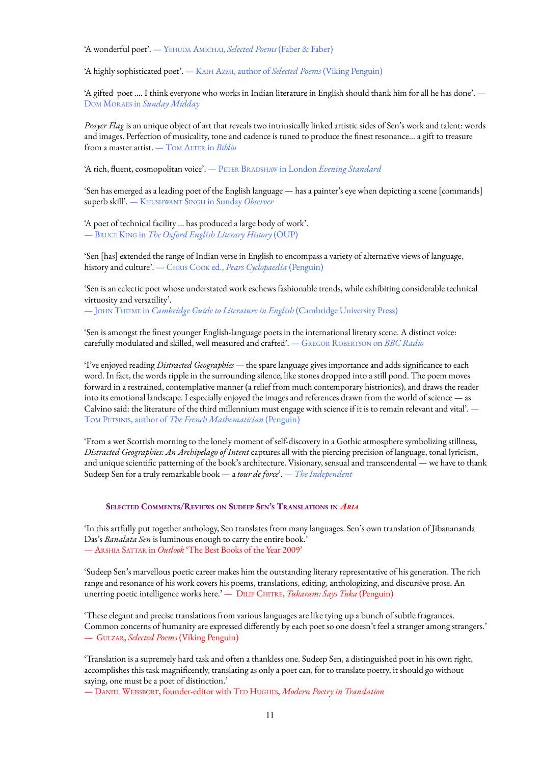'A wonderful poet'. — YEHUDA AMICHAI, *Selected Poems* (Faber & Faber)

'A highly sophisticated poet'. — KAIFI AZMI, author of *Selected Poems* (Viking Penguin)

'A gifted poet .... I think everyone who works in Indian literature in English should thank him for all he has done'. — DOM MORAES in *Sunday Midday*

*Prayer Flag* is an unique object of art that reveals two intrinsically linked artistic sides of Sen's work and talent: words and images. Perfection of musicality, tone and cadence is tuned to produce the finest resonance… a gift to treasure from a master artist. — TOM ALTER in *Biblio*

'A rich, fluent, cosmopolitan voice'. — PETER BRADSHAW in London *Evening Standard*

'Sen has emerged as a leading poet of the English language — has a painter's eye when depicting a scene [commands] superb skill'. — KHUSHWANT SINGH in Sunday *Observer*

'A poet of technical facility … has produced a large body of work'. — BRUCE KING in *The Oxford English Literary History* (OUP)

'Sen [has] extended the range of Indian verse in English to encompass a variety of alternative views of language, history and culture'. — CHRIS COOK ed., *Pears Cyclopaedia* (Penguin)

'Sen is an eclectic poet whose understated work eschews fashionable trends, while exhibiting considerable technical virtuosity and versatility'.

— JOHN THIEME in *Cambridge Guide to Literature in English* (Cambridge University Press)

'Sen is amongst the finest younger English-language poets in the international literary scene. A distinct voice: carefully modulated and skilled, well measured and crafted'. — GREGOR ROBERTSON on *BBC Radio*

'I've enjoyed reading *Distracted Geographies —* the spare language gives importance and adds significance to each word. In fact, the words ripple in the surrounding silence, like stones dropped into a still pond. The poem moves forward in a restrained, contemplative manner (a relief from much contemporary histrionics), and draws the reader into its emotional landscape. I especially enjoyed the images and references drawn from the world of science — as Calvino said: the literature of the third millennium must engage with science if it is to remain relevant and vital'. — TOM PETSINIS, author of *The French Mathematician* (Penguin)

'From a wet Scottish morning to the lonely moment of self-discovery in a Gothic atmosphere symbolizing stillness, *Distracted Geographies: An Archipelago of Intent* captures all with the piercing precision of language, tonal lyricism, and unique scientific patterning of the book's architecture. Visionary, sensual and transcendental — we have to thank Sudeep Sen for a truly remarkable book — a *tour de force*'. *— The Independent*

# **SELECTED COMMENTS/REVIEWS ON SUDEEP SEN'<sup>S</sup> TRANSLATIONS IN** *ARIA*

'In this artfully put together anthology, Sen translates from many languages. Sen's own translation of Jibanananda Das's *Banalata Sen* is luminous enough to carry the entire book.' — ARSHIA SATTAR in *Outlook* 'The Best Books of the Year 2009'

'Sudeep Sen's marvellous poetic career makes him the outstanding literary representative of his generation. The rich range and resonance of his work covers his poems, translations, editing, anthologizing, and discursive prose. An unerring poetic intelligence works here.' — DILIP CHITRE, *Tukaram: Says Tuka* (Penguin)

'These elegant and precise translations from various languages are like tying up a bunch of subtle fragrances. Common concerns of humanity are expressed differently by each poet so one doesn't feel a stranger among strangers.' — GULZAR, *Selected Poems* (Viking Penguin)

'Translation is a supremely hard task and often a thankless one. Sudeep Sen, a distinguished poet in his own right, accomplishes this task magnificently, translating as only a poet can, for to translate poetry, it should go without saying, one must be a poet of distinction.'

— DANIEL WEISSBORT, founder-editor with TED HUGHES, *Modern Poetry in Translation*